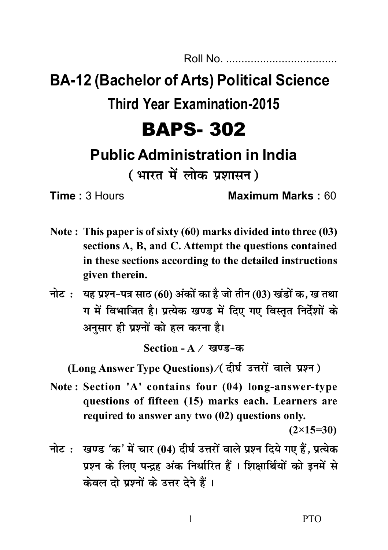Roll No. ....................................

# **BA-12 (Bachelor of Arts) Political Science**

# **Third Year Examination-2015**

# BAPS- 302

## **Public Administration in India**

*(* भारत में लोक प्रशासन)

**Time :** 3 Hours **Maximum Marks :** 60

- **Note : This paper is of sixty (60) marks divided into three (03) sections A, B, and C. Attempt the questions contained in these sections according to the detailed instructions given therein.**
- <u>नोट: यह प्रश्न-पत्र साठ (60) अंकों का है जो तीन (03) खंडों क. ख तथा</u> ग में विभाजित है। प्रत्येक खण्ड में दिए गए विस्तृत निर्देशों के अनसार ही प्रश्नों को हल करना **है**।

Section - A / खण्ड-क

*(Long Answer Type Questions) / (दीर्घ उत्तरों वाले प्रश्न)* 

**Note : Section 'A' contains four (04) long-answer-type questions of fifteen (15) marks each. Learners are required to answer any two (02) questions only.**

**(2×15=30)**

**नोट: खण्ड 'क' में चार (04) दीर्घ उत्तरों वाले प्रश्न दिये गए हैं, प्रत्येक** प्रश्न के लिए पन्द्रह अंक निर्धारित हैं । शिक्षार्थियों को इनमें से **केवल दो प्रश्नों के उत्तर देने हैं।**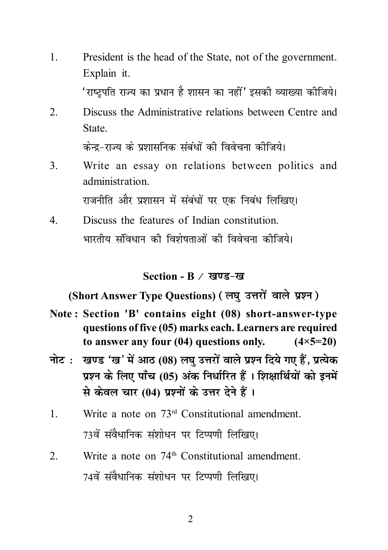- 1. President is the head of the State, not of the government. Explain it.  $^\prime$ राष्टपति राज्य का प्रधान है शासन का नहीं' इसकी व्याख्या कीजिये।
- 2. Discuss the Administrative relations between Centre and State.

<u>केन्द-राज्य के प्रशासनिक संबंधों की विवेचना कीजिये।</u>

- 3. Write an essay on relations between politics and administration. राजनीति और प्रशासन में संबंधों पर एक निबंध लिखिए।
- 4. Discuss the features of Indian constitution. भारतीय संविधान की विशेषताओं की विवेचना कीजिये।

#### **Section - B / खण्ड-ख**

(Short Answer Type Questions) (लघु उत्तरों वाले प्रश्न)

- **Note : Section 'B' contains eight (08) short-answer-type questions of five (05) marks each. Learners are required** to answer any four  $(04)$  questions only.  $(4 \times 5=20)$
- <u>नोट: खण्ड 'ख' में आठ (08) लघु उत्तरों वाले प्रश्न दिये गए हैं, प्रत्येक</u> **प्रश्न के लिए पाँच (05) अंक निर्धारित हैं । शिक्षार्थियों को इनमें से केवल चार (04) प्रश्नों के उत्तर देने हैं।**
- 1. Write a note on 73rd Constitutional amendment. 73वें संवैधानिक संशोधन पर टिप्पणी लिखिए।
- 2. Write a note on 74th Constitutional amendment. 74वें संवैधानिक संशोधन पर टिप्पणी लिखिए।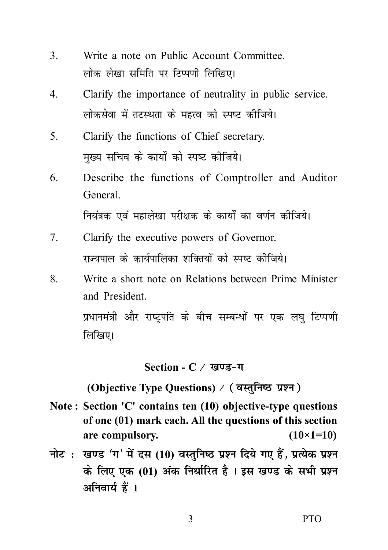- 3. Write a note on Public Account Committee. लोक लेखा समिति पर टिप्पणी लिखिए।
- 4. Clarify the importance of neutrality in public service. <u>लोकसेवा में तटस्थता के महत्व को स्पष्ट कीजिये।</u>
- 5. Clarify the functions of Chief secretary. <u>म</u>ुख्य सचिव के कार्यों को स्पष्ट कीजिये।
- 6. Describe the functions of Comptroller and Auditor General.

नियंत्रक एवं महालेखा परीक्षक के कार्यों का वर्णन कीजिये।

- 7. Clarify the executive powers of Governor. राज्यपाल के कार्यपालिका शक्तियों को स्पष्ट कीजिये।
- 8. Write a short note on Relations between Prime Minister and President. प्रधानमंत्री और राष्ट्रपति के बीच सम्बन्धों पर एक लघ टिप्पणी **लिखिए।**

#### **Section - C / खण्ड-ग**

(Objective Type Questions) / (वस्तुनिष्ठ प्रश्न)

- **Note : Section 'C' contains ten (10) objective-type questions of one (01) mark each. All the questions of this section are compulsory. (10×1=10)**
- **नोट: खण्ड 'ग' में दस (10) वस्तुनिष्ठ प्रश्न दिये गए हैं, प्रत्येक प्रश्न के लिए एक (01) अंक निर्धारित है। इस खण्ड के सभी प्रश्न** अनिवार्य हैं ।